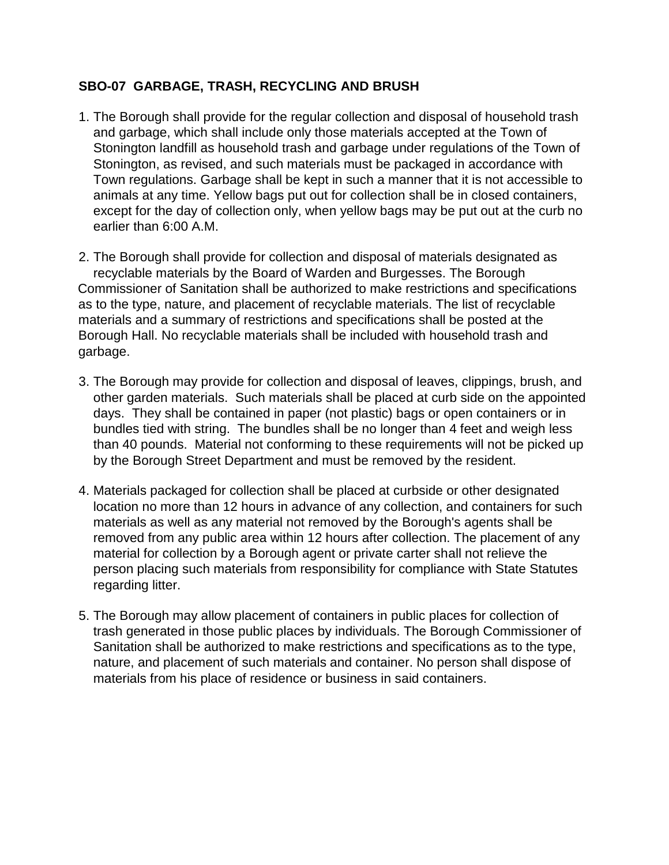## **SBO-07 GARBAGE, TRASH, RECYCLING AND BRUSH**

1. The Borough shall provide for the regular collection and disposal of household trash and garbage, which shall include only those materials accepted at the Town of Stonington landfill as household trash and garbage under regulations of the Town of Stonington, as revised, and such materials must be packaged in accordance with Town regulations. Garbage shall be kept in such a manner that it is not accessible to animals at any time. Yellow bags put out for collection shall be in closed containers, except for the day of collection only, when yellow bags may be put out at the curb no earlier than 6:00 A.M.

2. The Borough shall provide for collection and disposal of materials designated as recyclable materials by the Board of Warden and Burgesses. The Borough Commissioner of Sanitation shall be authorized to make restrictions and specifications as to the type, nature, and placement of recyclable materials. The list of recyclable materials and a summary of restrictions and specifications shall be posted at the Borough Hall. No recyclable materials shall be included with household trash and garbage.

- 3. The Borough may provide for collection and disposal of leaves, clippings, brush, and other garden materials. Such materials shall be placed at curb side on the appointed days. They shall be contained in paper (not plastic) bags or open containers or in bundles tied with string. The bundles shall be no longer than 4 feet and weigh less than 40 pounds. Material not conforming to these requirements will not be picked up by the Borough Street Department and must be removed by the resident.
- 4. Materials packaged for collection shall be placed at curbside or other designated location no more than 12 hours in advance of any collection, and containers for such materials as well as any material not removed by the Borough's agents shall be removed from any public area within 12 hours after collection. The placement of any material for collection by a Borough agent or private carter shall not relieve the person placing such materials from responsibility for compliance with State Statutes regarding litter.
- 5. The Borough may allow placement of containers in public places for collection of trash generated in those public places by individuals. The Borough Commissioner of Sanitation shall be authorized to make restrictions and specifications as to the type, nature, and placement of such materials and container. No person shall dispose of materials from his place of residence or business in said containers.